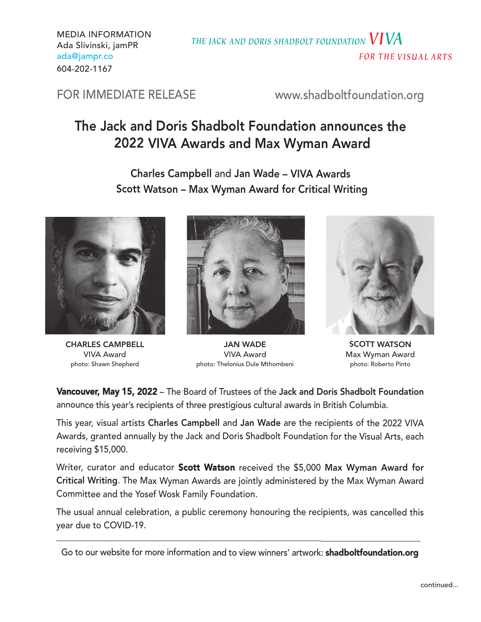MEDIA INFORMATION Ada Slivinski, jamPR ada@jampr.co 604-202-1167

*THE JACK AND DORIS SHADBOLT FOUNDATION VIVA FOR THE VI S U AL ARTS*

FOR IMMEDIATE RELEASE www.shadboltfoundation.org

# The Jack and Doris Shadbolt Foundation announces the 2022 VIVA Awards and Max Wyman Award

Charles Campbell and Jan Wade – VIVA Awards Scott Watson – Max Wyman Award for Critical Writing



CHARLES CAMPBELL VIVA Award photo: Shawn Shepherd



JAN WADE VIVA Award photo: Thelonius Dule Mthombeni



SCOTT WATSON Max Wyman Award photo: Roberto Pinto

Vancouver, May 15, 2022 – The Board of Trustees of the Jack and Doris Shadbolt Foundation announce this year's recipients of three prestigious cultural awards in British Columbia.

This year, visual artists Charles Campbell and Jan Wade are the recipients of the <sup>2022</sup> VIVA Awards, granted annually by the Jack and Doris Shadbolt Foundation for the Visual Arts, each receiving \$15,000.

Writer, curator and educator Scott Watson received the \$5,000 Max Wyman Award for Critical Writing. The Max Wyman Awards are jointly administered by the Max Wyman Award Committee and the Yosef Wosk Family Foundation.

The usual annual celebration, <sup>a</sup> public ceremony honouring the recipients, was cancelled this year due to COVID-19.

Go to our website for more information and to view winners' artwork: **shadboltfoundation.org**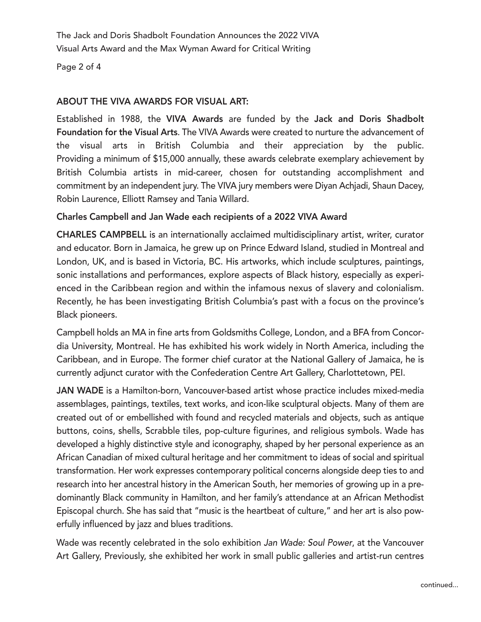The Jack and Doris Shadbolt Foundation Announces the 2022 VIVA Visual Arts Award and the Max Wyman Award for Critical Writing

Page 2 of 4

### ABOUT THE VIVA AWARDS FOR VISUAL ART:

Established in 1988, the VIVA Awards are funded by the Jack and Doris Shadbolt Foundation for the Visual Arts. The VIVA Awards were created to nurture the advancement of the visual arts in British Columbia and their appreciation by the public. Providing a minimum of \$15,000 annually, these awards celebrate exemplary achievement by British Columbia artists in mid-career, chosen for outstanding accomplishment and commitment by an independent jury. The VIVA jury members were Diyan Achjadi, Shaun Dacey, Robin Laurence, Elliott Ramsey and Tania Willard.

#### Charles Campbell and Jan Wade each recipients of a 2022 VIVA Award

CHARLES CAMPBELL is an internationally acclaimed multidisciplinary artist, writer, curator and educator. Born in Jamaica, he grew up on Prince Edward Island, studied in Montreal and London, UK, and is based in Victoria, BC. His artworks, which include sculptures, paintings, sonic installations and performances, explore aspects of Black history, especially as experienced in the Caribbean region and within the infamous nexus of slavery and colonialism. Recently, he has been investigating British Columbia's past with a focus on the province's Black pioneers.

Campbell holds an MA in fine arts from Goldsmiths College, London, and a BFA from Concordia University, Montreal. He has exhibited his work widely in North America, including the Caribbean, and in Europe. The former chief curator at the National Gallery of Jamaica, he is currently adjunct curator with the Confederation Centre Art Gallery, Charlottetown, PEI.

JAN WADE is a Hamilton-born, Vancouver-based artist whose practice includes mixed-media assemblages, paintings, textiles, text works, and icon-like sculptural objects. Many of them are created out of or embellished with found and recycled materials and objects, such as antique buttons, coins, shells, Scrabble tiles, pop-culture figurines, and religious symbols. Wade has developed a highly distinctive style and iconography, shaped by her personal experience as an African Canadian of mixed cultural heritage and her commitment to ideas of social and spiritual transformation. Her work expresses contemporary political concerns alongside deep ties to and research into her ancestral history in the American South, her memories of growing up in a predominantly Black community in Hamilton, and her family's attendance at an African Methodist Episcopal church. She has said that "music is the heartbeat of culture," and her art is also powerfully influenced by jazz and blues traditions.

Wade was recently celebrated in the solo exhibition *Jan Wade: Soul Power*, at the Vancouver Art Gallery, Previously, she exhibited her work in small public galleries and artist-run centres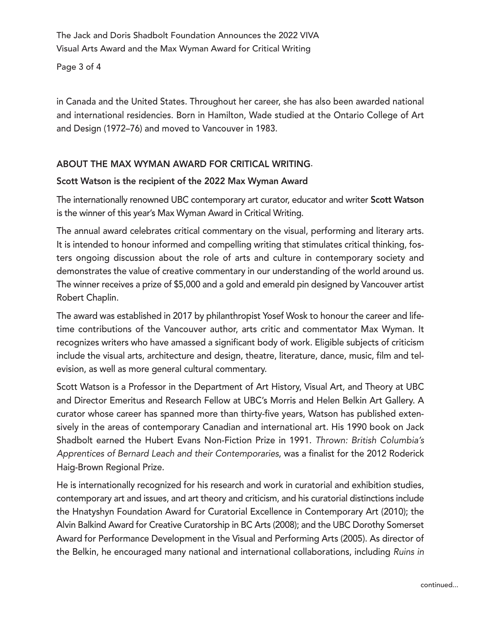The Jack and Doris Shadbolt Foundation Announces the 2022 VIVA Visual Arts Award and the Max Wyman Award for Critical Writing

Page 3 of 4

in Canada and the United States. Throughout her career, she has also been awarded national and international residencies. Born in Hamilton, Wade studied at the Ontario College of Art and Design (1972–76) and moved to Vancouver in 1983.

# ABOUT THE MAX WYMAN AWARD FOR CRITICAL WRITING.

# Scott Watson is the recipient of the 2022 Max Wyman Award

The internationally renowned UBC contemporary art curator, educator and writer Scott Watson is the winner of this year's Max Wyman Award in Critical Writing.

The annual award celebrates critical commentary on the visual, performing and literary arts. It is intended to honour informed and compelling writing that stimulates critical thinking, fosters ongoing discussion about the role of arts and culture in contemporary society and demonstrates the value of creative commentary in our understanding of the world around us. The winner receives a prize of \$5,000 and a gold and emerald pin designed by Vancouver artist Robert Chaplin.

The award was established in 2017 by philanthropist Yosef Wosk to honour the career and lifetime contributions of the Vancouver author, arts critic and commentator Max Wyman. It recognizes writers who have amassed a significant body of work. Eligible subjects of criticism include the visual arts, architecture and design, theatre, literature, dance, music, film and television, as well as more general cultural commentary.

Scott Watson is a Professor in the Department of Art History, Visual Art, and Theory at UBC and Director Emeritus and Research Fellow at UBC's Morris and Helen Belkin Art Gallery. A curator whose career has spanned more than thirty-five years, Watson has published extensively in the areas of contemporary Canadian and international art. His 1990 book on Jack Shadbolt earned the Hubert Evans Non-Fiction Prize in 1991. *Thrown: British Columbia's Apprentices of Bernard Leach and their Contemporaries*, was a finalist for the 2012 Roderick Haig-Brown Regional Prize.

He is internationally recognized for his research and work in curatorial and exhibition studies, contemporary art and issues, and art theory and criticism, and his curatorial distinctions include the Hnatyshyn Foundation Award for Curatorial Excellence in Contemporary Art (2010); the Alvin Balkind Award for Creative Curatorship in BC Arts (2008); and the UBC Dorothy Somerset Award for Performance Development in the Visual and Performing Arts (2005). As director of the Belkin, he encouraged many national and international collaborations, including *Ruins in*